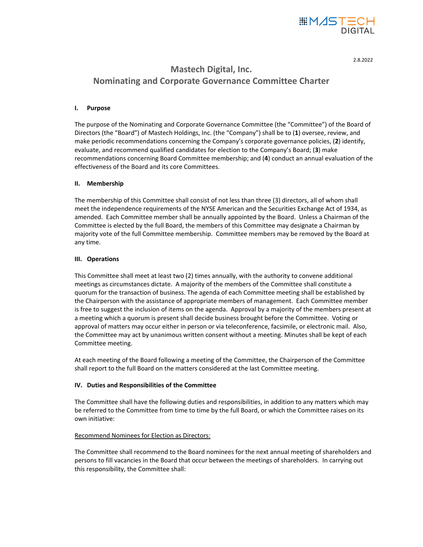

2.8.2022

# **Mastech Digital, Inc. Nominating and Corporate Governance Committee Charter**

# **I. Purpose**

The purpose of the Nominating and Corporate Governance Committee (the "Committee") of the Board of Directors (the "Board") of Mastech Holdings, Inc. (the "Company") shall be to (**1**) oversee, review, and make periodic recommendations concerning the Company's corporate governance policies, (**2**) identify, evaluate, and recommend qualified candidates for election to the Company's Board; (**3**) make recommendations concerning Board Committee membership; and (**4**) conduct an annual evaluation of the effectiveness of the Board and its core Committees.

# **II. Membership**

The membership of this Committee shall consist of not less than three (3) directors, all of whom shall meet the independence requirements of the NYSE American and the Securities Exchange Act of 1934, as amended. Each Committee member shall be annually appointed by the Board. Unless a Chairman of the Committee is elected by the full Board, the members of this Committee may designate a Chairman by majority vote of the full Committee membership. Committee members may be removed by the Board at any time.

# **III. Operations**

This Committee shall meet at least two (2) times annually, with the authority to convene additional meetings as circumstances dictate. A majority of the members of the Committee shall constitute a quorum for the transaction of business. The agenda of each Committee meeting shall be established by the Chairperson with the assistance of appropriate members of management. Each Committee member is free to suggest the inclusion of items on the agenda. Approval by a majority of the members present at a meeting which a quorum is present shall decide business brought before the Committee. Voting or approval of matters may occur either in person or via teleconference, facsimile, or electronic mail. Also, the Committee may act by unanimous written consent without a meeting. Minutes shall be kept of each Committee meeting.

At each meeting of the Board following a meeting of the Committee, the Chairperson of the Committee shall report to the full Board on the matters considered at the last Committee meeting.

# **IV. Duties and Responsibilities of the Committee**

The Committee shall have the following duties and responsibilities, in addition to any matters which may be referred to the Committee from time to time by the full Board, or which the Committee raises on its own initiative:

## Recommend Nominees for Election as Directors:

The Committee shall recommend to the Board nominees for the next annual meeting of shareholders and persons to fill vacancies in the Board that occur between the meetings of shareholders. In carrying out this responsibility, the Committee shall: